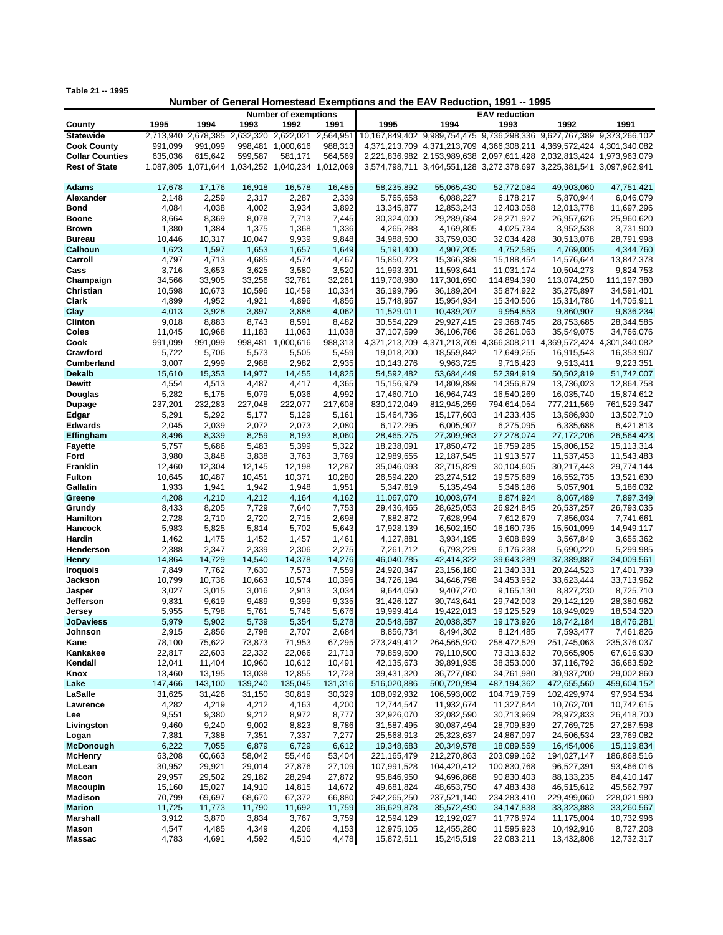**Table 21 -- 1995**

## **Number of General Homestead Exemptions and the EAV Reduction, 1991 -- 1995**

|                        |           | <b>Number of exemptions</b> |                     |                                                   |           |                                                                        | <b>EAV</b> reduction |               |                                                                       |               |
|------------------------|-----------|-----------------------------|---------------------|---------------------------------------------------|-----------|------------------------------------------------------------------------|----------------------|---------------|-----------------------------------------------------------------------|---------------|
| County                 | 1995      | 1994                        | 1993                | 1992                                              | 1991      | 1995                                                                   | 1994                 | 1993          | 1992                                                                  | 1991          |
| <b>Statewide</b>       | 2,713,940 | 2,678,385                   | 2,632,320 2,622,021 |                                                   | 2,564,951 | 10,167,849,402 9,989,754,475 9,736,298,336 9,627,767,389 9,373,266,102 |                      |               |                                                                       |               |
|                        |           |                             |                     |                                                   |           |                                                                        |                      |               |                                                                       |               |
| <b>Cook County</b>     | 991,099   | 991.099                     | 998.481             | 1,000,616                                         | 988,313   |                                                                        |                      |               | 4,371,213,709 4,371,213,709 4,366,308,211 4,369,572,424 4,301,340,082 |               |
| <b>Collar Counties</b> | 635,036   | 615,642                     | 599,587             | 581,171                                           | 564,569   |                                                                        |                      |               | 2,221,836,982 2,153,989,638 2,097,611,428 2,032,813,424 1,973,963,079 |               |
| <b>Rest of State</b>   |           |                             |                     | 1,087,805 1,071,644 1,034,252 1,040,234 1,012,069 |           |                                                                        |                      |               | 3,574,798,711 3,464,551,128 3,272,378,697 3,225,381,541 3,097,962,941 |               |
|                        |           |                             |                     |                                                   |           |                                                                        |                      |               |                                                                       |               |
| <b>Adams</b>           | 17.678    | 17,176                      | 16,918              | 16.578                                            | 16.485    | 58.235.892                                                             | 55,065,430           | 52,772,084    | 49,903,060                                                            | 47,751,421    |
|                        |           |                             |                     |                                                   |           |                                                                        | 6,088,227            |               |                                                                       |               |
| Alexander              | 2,148     | 2,259                       | 2,317               | 2,287                                             | 2,339     | 5,765,658                                                              |                      | 6,178,217     | 5,870,944                                                             | 6,046,079     |
| <b>Bond</b>            | 4,084     | 4,038                       | 4,002               | 3,934                                             | 3,892     | 13,345,877                                                             | 12,853,243           | 12,403,058    | 12,013,778                                                            | 11,697,296    |
| Boone                  | 8,664     | 8,369                       | 8,078               | 7,713                                             | 7,445     | 30,324,000                                                             | 29,289,684           | 28,271,927    | 26,957,626                                                            | 25,960,620    |
| <b>Brown</b>           | 1,380     | 1,384                       | 1,375               | 1,368                                             | 1,336     | 4,265,288                                                              | 4,169,805            | 4,025,734     | 3,952,538                                                             | 3,731,900     |
| <b>Bureau</b>          | 10,446    | 10,317                      | 10,047              | 9,939                                             | 9,848     | 34,988,500                                                             | 33,759,030           | 32,034,428    | 30,513,078                                                            | 28,791,998    |
|                        |           |                             |                     |                                                   |           |                                                                        |                      |               |                                                                       |               |
| Calhoun                | 1,623     | 1,597                       | 1,653               | 1,657                                             | 1,649     | 5,191,400                                                              | 4,907,205            | 4,752,585     | 4,769,005                                                             | 4,344,760     |
| Carroll                | 4,797     | 4,713                       | 4,685               | 4,574                                             | 4,467     | 15,850,723                                                             | 15,366,389           | 15,188,454    | 14,576,644                                                            | 13,847,378    |
| Cass                   | 3,716     | 3,653                       | 3,625               | 3,580                                             | 3,520     | 11,993,301                                                             | 11,593,641           | 11,031,174    | 10,504,273                                                            | 9,824,753     |
| Champaign              | 34,566    | 33,905                      | 33,256              | 32,781                                            | 32,261    | 119,708,980                                                            | 117,301,690          | 114,894,390   | 113,074,250                                                           | 111, 197, 380 |
| Christian              | 10,598    | 10,673                      | 10,596              | 10,459                                            | 10,334    | 36,199,796                                                             | 36,189,204           | 35,874,922    | 35,275,897                                                            | 34,591,401    |
|                        |           |                             |                     |                                                   |           |                                                                        |                      |               |                                                                       |               |
| Clark                  | 4,899     | 4,952                       | 4,921               | 4,896                                             | 4,856     | 15,748,967                                                             | 15,954,934           | 15,340,506    | 15,314,786                                                            | 14,705,911    |
| Clay                   | 4,013     | 3,928                       | 3,897               | 3,888                                             | 4,062     | 11,529,011                                                             | 10,439,207           | 9,954,853     | 9,860,907                                                             | 9,836,234     |
| <b>Clinton</b>         | 9,018     | 8,883                       | 8,743               | 8,591                                             | 8,482     | 30,554,229                                                             | 29,927,415           | 29,368,745    | 28,753,685                                                            | 28,344,585    |
| Coles                  | 11,045    | 10,968                      | 11,183              | 11,063                                            | 11,038    | 37,107,599                                                             | 36,106,786           | 36,261,063    | 35,549,075                                                            | 34,766,076    |
| Cook                   | 991,099   | 991,099                     | 998,481             | 1,000,616                                         | 988,313   |                                                                        |                      |               | 4,371,213,709 4,371,213,709 4,366,308,211 4,369,572,424 4,301,340,082 |               |
| Crawford               |           |                             |                     |                                                   |           |                                                                        |                      |               |                                                                       |               |
|                        | 5,722     | 5,706                       | 5,573               | 5,505                                             | 5,459     | 19,018,200                                                             | 18,559,842           | 17,649,255    | 16,915,543                                                            | 16,353,907    |
| <b>Cumberland</b>      | 3,007     | 2,999                       | 2,988               | 2,982                                             | 2,935     | 10,143,276                                                             | 9,963,725            | 9,716,423     | 9,513,411                                                             | 9,223,351     |
| <b>Dekalb</b>          | 15,610    | 15,353                      | 14,977              | 14,455                                            | 14,825    | 54,592,482                                                             | 53,684,449           | 52,394,919    | 50,502,819                                                            | 51,742,007    |
| <b>Dewitt</b>          | 4,554     | 4,513                       | 4,487               | 4,417                                             | 4,365     | 15,156,979                                                             | 14,809,899           | 14,356,879    | 13,736,023                                                            | 12,864,758    |
| Douglas                | 5,282     | 5,175                       | 5,079               | 5,036                                             | 4,992     | 17,460,710                                                             | 16,964,743           | 16,540,269    | 16,035,740                                                            | 15,874,612    |
|                        |           |                             |                     |                                                   |           |                                                                        |                      |               |                                                                       |               |
| <b>Dupage</b>          | 237,201   | 232,283                     | 227,048             | 222,077                                           | 217,608   | 830,172,049                                                            | 812,945,259          | 794,614,054   | 777,211,569                                                           | 761,529,347   |
| Edgar                  | 5,291     | 5,292                       | 5,177               | 5,129                                             | 5,161     | 15,464,736                                                             | 15,177,603           | 14,233,435    | 13,586,930                                                            | 13,502,710    |
| <b>Edwards</b>         | 2,045     | 2,039                       | 2,072               | 2,073                                             | 2,080     | 6,172,295                                                              | 6,005,907            | 6,275,095     | 6,335,688                                                             | 6,421,813     |
| Effingham              | 8,496     | 8,339                       | 8,259               | 8,193                                             | 8,060     | 28,465,275                                                             | 27,309,963           | 27,278,074    | 27,172,206                                                            | 26,564,423    |
| <b>Fayette</b>         | 5,757     | 5,686                       | 5,483               | 5,399                                             | 5,322     | 18,238,091                                                             | 17,850,472           | 16,759,285    | 15,806,152                                                            | 15,113,314    |
| Ford                   | 3,980     | 3,848                       | 3,838               | 3,763                                             | 3,769     | 12,989,655                                                             | 12,187,545           | 11,913,577    | 11,537,453                                                            | 11,543,483    |
|                        |           |                             |                     |                                                   |           |                                                                        |                      |               |                                                                       |               |
| <b>Franklin</b>        | 12,460    | 12,304                      | 12,145              | 12,198                                            | 12,287    | 35,046,093                                                             | 32,715,829           | 30,104,605    | 30,217,443                                                            | 29,774,144    |
| <b>Fulton</b>          | 10,645    | 10,487                      | 10,451              | 10,371                                            | 10,280    | 26,594,220                                                             | 23,274,512           | 19,575,689    | 16,552,735                                                            | 13,521,630    |
| Gallatin               | 1,933     | 1,941                       | 1,942               | 1,948                                             | 1,951     | 5,347,619                                                              | 5,135,494            | 5,346,186     | 5,057,901                                                             | 5,186,032     |
| Greene                 | 4,208     | 4,210                       | 4,212               | 4,164                                             | 4,162     | 11,067,070                                                             | 10,003,674           | 8,874,924     | 8,067,489                                                             | 7,897,349     |
| Grundy                 | 8,433     | 8,205                       | 7,729               | 7,640                                             | 7,753     | 29,436,465                                                             | 28,625,053           | 26,924,845    | 26,537,257                                                            | 26,793,035    |
|                        |           |                             |                     |                                                   | 2,698     |                                                                        |                      |               |                                                                       |               |
| Hamilton               | 2,728     | 2,710                       | 2,720               | 2,715                                             |           | 7,882,872                                                              | 7,628,994            | 7,612,679     | 7,856,034                                                             | 7,741,661     |
| Hancock                | 5,983     | 5,825                       | 5,814               | 5,702                                             | 5,643     | 17,928,139                                                             | 16,502,150           | 16,160,735    | 15,501,099                                                            | 14,949,117    |
| Hardin                 | 1,462     | 1,475                       | 1,452               | 1,457                                             | 1,461     | 4,127,881                                                              | 3,934,195            | 3,608,899     | 3,567,849                                                             | 3,655,362     |
| Henderson              | 2,388     | 2,347                       | 2,339               | 2,306                                             | 2,275     | 7,261,712                                                              | 6,793,229            | 6,176,238     | 5,690,220                                                             | 5,299,985     |
| <b>Henry</b>           | 14,864    | 14,729                      | 14,540              | 14,378                                            | 14,276    | 46,040,785                                                             | 42,414,322           | 39,643,289    | 37,389,887                                                            | 34,009,561    |
| <b>Iroquois</b>        | 7,849     | 7,762                       | 7,630               | 7,573                                             | 7,559     | 24,920,347                                                             | 23,156,180           | 21,340,331    | 20,244,523                                                            | 17,401,739    |
|                        |           |                             |                     |                                                   |           |                                                                        |                      |               |                                                                       |               |
| Jackson                | 10,799    | 10,736                      | 10,663              | 10,574                                            | 10,396    | 34,726,194                                                             | 34,646,798           | 34,453,952    | 33,623,444                                                            | 33,713,962    |
| Jasper                 | 3,027     | 3,015                       | 3,016               | 2,913                                             | 3,034     | 9,644,050                                                              | 9,407,270            | 9,165,130     | 8,827,230                                                             | 8,725,710     |
| Jefferson              | 9,831     | 9,619                       | 9,489               | 9,399                                             | 9,335     | 31,426,127                                                             | 30,743,641           | 29,742,003    | 29,142,129                                                            | 28,380,962    |
| Jersey                 | 5,955     | 5,798                       | 5,761               | 5,746                                             | 5,676     | 19,999,414                                                             | 19,422,013           | 19,125,529    | 18,949,029                                                            | 18,534,320    |
| <b>JoDaviess</b>       | 5,979     | 5,902                       | 5,739               | 5,354                                             | 5,278     | 20,548,587                                                             | 20,038,357           | 19,173,926    | 18,742,184                                                            | 18,476,281    |
| Johnson                | 2,915     | 2,856                       | 2,798               | 2,707                                             | 2,684     | 8,856,734                                                              | 8,494,302            | 8,124,485     | 7,593,477                                                             | 7,461,826     |
|                        |           |                             |                     |                                                   |           |                                                                        |                      |               |                                                                       |               |
| Kane                   | 78,100    | 75,622                      | 73,873              | 71,953                                            | 67,295    | 273,249,412                                                            | 264,565,920          | 258,472,529   | 251,745,063                                                           | 235,376,037   |
| Kankakee               | 22,817    | 22,603                      | 22,332              | 22,066                                            | 21,713    | 79,859,500                                                             | 79,110,500           | 73,313,632    | 70,565,905                                                            | 67,616,930    |
| Kendall                | 12,041    | 11,404                      | 10,960              | 10,612                                            | 10,491    | 42,135,673                                                             | 39,891,935           | 38,353,000    | 37,116,792                                                            | 36,683,592    |
| Knox                   | 13,460    | 13,195                      | 13,038              | 12,855                                            | 12,728    | 39,431,320                                                             | 36,727,080           | 34,761,980    | 30,937,200                                                            | 29,002,860    |
| Lake                   | 147,466   | 143,100                     | 139,240             | 135,045                                           | 131,316   | 516,020,886                                                            | 500,720,994          | 487, 194, 362 | 472,655,560                                                           | 459,604,152   |
|                        |           |                             |                     |                                                   |           |                                                                        |                      |               |                                                                       |               |
| LaSalle                | 31,625    | 31,426                      | 31,150              | 30,819                                            | 30,329    | 108,092,932                                                            | 106,593,002          | 104,719,759   | 102,429,974                                                           | 97,934,534    |
| Lawrence               | 4,282     | 4,219                       | 4,212               | 4,163                                             | 4,200     | 12,744,547                                                             | 11,932,674           | 11,327,844    | 10,762,701                                                            | 10,742,615    |
| Lee                    | 9,551     | 9,380                       | 9,212               | 8,972                                             | 8,777     | 32,926,070                                                             | 32,082,590           | 30,713,969    | 28,972,833                                                            | 26,418,700    |
| Livingston             | 9,460     | 9,240                       | 9,002               | 8,823                                             | 8,786     | 31,587,495                                                             | 30,087,494           | 28,709,839    | 27,769,725                                                            | 27,287,598    |
| Logan                  | 7,381     | 7,388                       | 7,351               | 7,337                                             | 7,277     | 25,568,913                                                             | 25,323,637           | 24,867,097    | 24,506,534                                                            | 23,769,082    |
|                        |           |                             |                     |                                                   |           |                                                                        |                      |               |                                                                       |               |
| <b>McDonough</b>       | 6,222     | 7,055                       | 6,879               | 6,729                                             | 6,612     | 19,348,683                                                             | 20,349,578           | 18,089,559    | 16,454,006                                                            | 15,119,834    |
| <b>McHenry</b>         | 63,208    | 60,663                      | 58,042              | 55,446                                            | 53,404    | 221,165,479                                                            | 212,270,863          | 203,099,162   | 194,027,147                                                           | 186,868,516   |
| McLean                 | 30,952    | 29,921                      | 29,014              | 27,876                                            | 27,109    | 107,991,528                                                            | 104,420,412          | 100,830,768   | 96,527,391                                                            | 93,466,016    |
| Macon                  | 29,957    | 29,502                      | 29,182              | 28,294                                            | 27,872    | 95,846,950                                                             | 94,696,868           | 90,830,403    | 88,133,235                                                            | 84,410,147    |
| <b>Macoupin</b>        | 15,160    | 15,027                      | 14,910              | 14,815                                            | 14,672    | 49,681,824                                                             | 48,653,750           | 47,483,438    | 46,515,612                                                            | 45,562,797    |
|                        |           |                             |                     |                                                   |           |                                                                        |                      |               |                                                                       |               |
| <b>Madison</b>         | 70,799    | 69,697                      | 68,670              | 67,372                                            | 66,880    | 242,265,250                                                            | 237,521,140          | 234,283,410   | 229,499,060                                                           | 228,021,980   |
| <b>Marion</b>          | 11,725    | 11,773                      | 11,790              | 11,692                                            | 11,759    | 36,629,878                                                             | 35,572,490           | 34, 147, 838  | 33,323,883                                                            | 33,260,567    |
| Marshall               | 3,912     | 3,870                       | 3,834               | 3,767                                             | 3,759     | 12,594,129                                                             | 12,192,027           | 11,776,974    | 11,175,004                                                            | 10,732,996    |
| Mason                  | 4,547     | 4,485                       | 4,349               | 4,206                                             | 4,153     | 12,975,105                                                             | 12,455,280           | 11,595,923    | 10,492,916                                                            | 8,727,208     |
| <b>Massac</b>          | 4,783     | 4,691                       | 4,592               | 4,510                                             | 4,478     | 15,872,511                                                             | 15,245,519           | 22,083,211    | 13,432,808                                                            | 12,732,317    |
|                        |           |                             |                     |                                                   |           |                                                                        |                      |               |                                                                       |               |